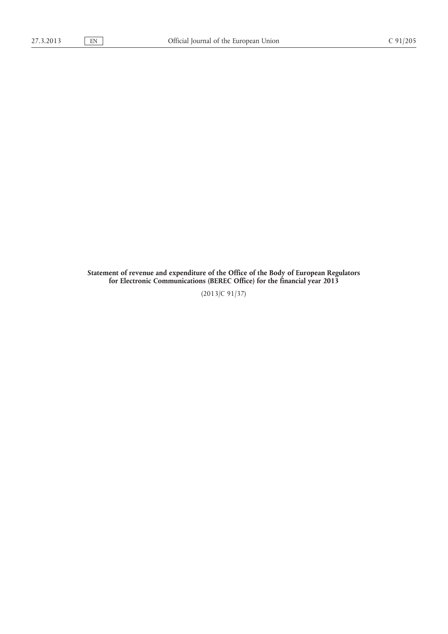**Statement of revenue and expenditure of the Office of the Body of European Regulators for Electronic Communications (BEREC Office) for the financial year 2013**

(2013/C 91/37)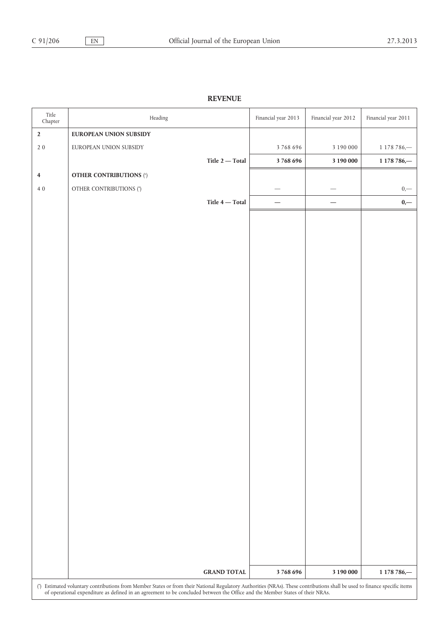## **REVENUE**

| Title<br>${\it Chapter}$ | Heading                                                                                                                                                                    | Financial year 2013 | Financial year 2012 | Financial year 2011 |
|--------------------------|----------------------------------------------------------------------------------------------------------------------------------------------------------------------------|---------------------|---------------------|---------------------|
| $\mathbf 2$              | <b>EUROPEAN UNION SUBSIDY</b>                                                                                                                                              |                     |                     |                     |
| $2\ 0$                   | EUROPEAN UNION SUBSIDY                                                                                                                                                     | 3768696             | 3 190 000           | 1 178 786,-         |
|                          | Title $2$ — Total                                                                                                                                                          | 3768696             | 3 190 000           | 1 178 786,-         |
| $\overline{\mathbf{4}}$  | <b>OTHER CONTRIBUTIONS (*)</b>                                                                                                                                             |                     |                     |                     |
| $4\;0$                   | OTHER CONTRIBUTIONS (*)                                                                                                                                                    |                     |                     | $0,$ —              |
|                          | Title $4$ — Total $\,$                                                                                                                                                     |                     |                     | $0,-$               |
|                          |                                                                                                                                                                            |                     |                     |                     |
|                          |                                                                                                                                                                            |                     |                     |                     |
|                          |                                                                                                                                                                            |                     |                     |                     |
|                          |                                                                                                                                                                            |                     |                     |                     |
|                          |                                                                                                                                                                            |                     |                     |                     |
|                          |                                                                                                                                                                            |                     |                     |                     |
|                          |                                                                                                                                                                            |                     |                     |                     |
|                          |                                                                                                                                                                            |                     |                     |                     |
|                          |                                                                                                                                                                            |                     |                     |                     |
|                          |                                                                                                                                                                            |                     |                     |                     |
|                          |                                                                                                                                                                            |                     |                     |                     |
|                          |                                                                                                                                                                            |                     |                     |                     |
|                          |                                                                                                                                                                            |                     |                     |                     |
|                          |                                                                                                                                                                            |                     |                     |                     |
|                          |                                                                                                                                                                            |                     |                     |                     |
|                          |                                                                                                                                                                            |                     |                     |                     |
|                          |                                                                                                                                                                            |                     |                     |                     |
|                          |                                                                                                                                                                            |                     |                     |                     |
|                          |                                                                                                                                                                            |                     |                     |                     |
|                          |                                                                                                                                                                            |                     |                     |                     |
|                          |                                                                                                                                                                            |                     |                     |                     |
|                          |                                                                                                                                                                            |                     |                     |                     |
|                          |                                                                                                                                                                            |                     |                     |                     |
|                          |                                                                                                                                                                            |                     |                     |                     |
|                          |                                                                                                                                                                            |                     |                     |                     |
|                          |                                                                                                                                                                            |                     |                     |                     |
|                          | <b>GRAND TOTAL</b>                                                                                                                                                         | 3768696             | 3 190 000           | 1 178 786,-         |
|                          | (*) Estimated voluntary contributions from Member States or from their National Regulatory Authorities (NRAs). These contributions shall be used to finance specific items |                     |                     |                     |
|                          | of operational expenditure as defined in an agreement to be concluded between the Office and the Member States of their NRAs.                                              |                     |                     |                     |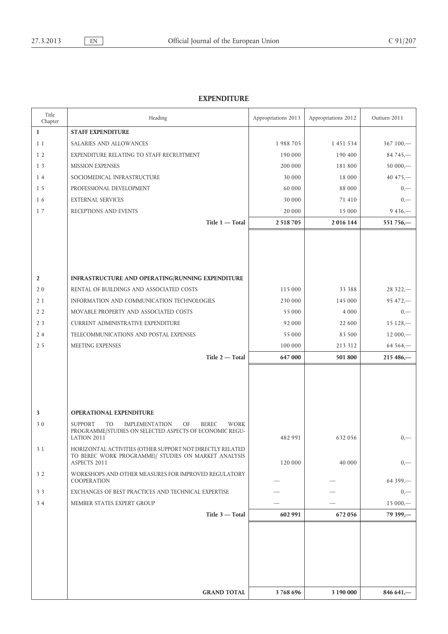## **EXPENDITURE**

| Title<br>Chapter | Heading                                                                     | Appropriations 2013 | Appropriations 2012 | Outturn 2011 |
|------------------|-----------------------------------------------------------------------------|---------------------|---------------------|--------------|
| $\mathbf{1}$     | <b>STAFF EXPENDITURE</b>                                                    |                     |                     |              |
| 11               | SALARIES AND ALLOWANCES                                                     | 1988705             | 1 451 534           | $367100 -$   |
| 1 <sub>2</sub>   | EXPENDITURE RELATING TO STAFF RECRUITMENT                                   | 190 000             | 190 400             | $84745 -$    |
| 13               | <b>MISSION EXPENSES</b>                                                     | 200 000             | 181 800             | $50000 -$    |
| 14               | SOCIOMEDICAL INFRASTRUCTURE                                                 | 30 000              | 18 000              | 40 475, $-$  |
| 15               | PROFESSIONAL DEVELOPMENT                                                    | 60 000              | 88 000              | $0, -$       |
| 16               | <b>EXTERNAL SERVICES</b>                                                    | 30 000              | 71 410              | $0, -$       |
| 17               | RECEPTIONS AND EVENTS                                                       | 20 000              | 15 000              | $9436 -$     |
|                  | Title 1 - Total                                                             | 2 5 18 7 05         | 2016 144            | 551 756,-    |
|                  |                                                                             |                     |                     |              |
|                  |                                                                             |                     |                     |              |
|                  |                                                                             |                     |                     |              |
|                  |                                                                             |                     |                     |              |
| $\overline{2}$   | INFRASTRUCTURE AND OPERATING/RUNNING EXPENDITURE                            |                     |                     |              |
| 20               | RENTAL OF BUILDINGS AND ASSOCIATED COSTS                                    | 115 000             | 33 388              | $28322 -$    |
| 21               | INFORMATION AND COMMUNICATION TECHNOLOGIES                                  | 230 000             | 145 000             | $95472 -$    |
| 22               | MOVABLE PROPERTY AND ASSOCIATED COSTS                                       | 55 000              | 4 0 0 0             | $0, -$       |
| 2 <sub>3</sub>   | <b>CURRENT ADMINISTRATIVE EXPENDITURE</b>                                   | 92 000              | 22 600              | $15128 -$    |
| 24               | TELECOMMUNICATIONS AND POSTAL EXPENSES                                      | 55 000              | 83 500              | $12000 -$    |
| 25               | MEETING EXPENSES                                                            | 100 000             | 213 312             | $64564 -$    |
|                  | Title 2-Total                                                               | 647 000             | 501 800             | $215486 -$   |
|                  |                                                                             |                     |                     |              |
|                  |                                                                             |                     |                     |              |
|                  |                                                                             |                     |                     |              |
|                  |                                                                             |                     |                     |              |
| 3                | <b>OPERATIONAL EXPENDITURE</b>                                              |                     |                     |              |
| 30               | <b>SUPPORT</b><br><b>IMPLEMENTATION</b><br>OF<br><b>BEREC</b><br>TO<br>WORK |                     |                     |              |
|                  | PROGRAMME/STUDIES ON SELECTED ASPECTS OF ECONOMIC REGU-<br>LATION 2011      | 482 991             | 632056              | $_{0,-}$     |
| 3 1              | HORIZONTAL ACTIVITIES (OTHER SUPPORT NOT DIRECTLY RELATED                   |                     |                     |              |
|                  | TO BEREC WORK PROGRAMME) STUDIES ON MARKET ANALYSIS<br>ASPECTS 2011         | 120 000             | 40 000              | $0, -$       |
| 32               | WORKSHOPS AND OTHER MEASURES FOR IMPROVED REGULATORY                        |                     |                     |              |
|                  | COOPERATION                                                                 |                     |                     | $64399 -$    |
| 33               | EXCHANGES OF BEST PRACTICES AND TECHNICAL EXPERTISE                         |                     |                     | $_{0,-}$     |
| 34               | MEMBER STATES EXPERT GROUP                                                  |                     |                     | $15000 -$    |
|                  | Title 3 - Total                                                             | 602 991             | 672056              | 79 399,-     |
|                  |                                                                             |                     |                     |              |
|                  |                                                                             |                     |                     |              |
|                  |                                                                             |                     |                     |              |
|                  |                                                                             |                     |                     |              |
|                  |                                                                             |                     |                     |              |
|                  |                                                                             |                     |                     |              |
|                  | <b>GRAND TOTAL</b>                                                          | 3768696             | 3 190 000           | $846641 -$   |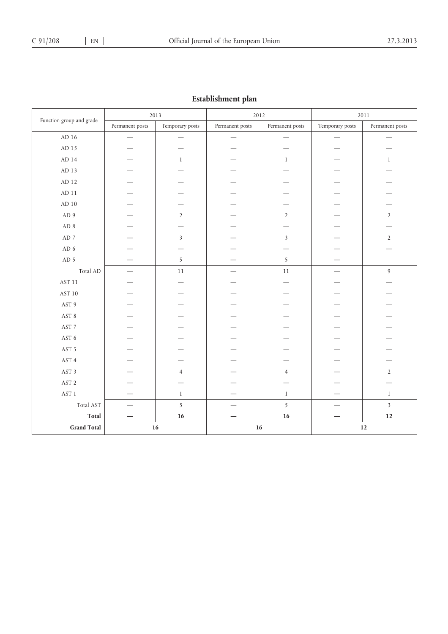| Establishment plan       |                          |                          |                          |                         |                          |                          |
|--------------------------|--------------------------|--------------------------|--------------------------|-------------------------|--------------------------|--------------------------|
|                          | 2013                     |                          | 2012                     |                         | 2011                     |                          |
| Function group and grade | Permanent posts          | Temporary posts          | Permanent posts          | Permanent posts         | Temporary posts          | Permanent posts          |
| AD 16 $\,$               | $\overline{\phantom{0}}$ |                          | $\overline{\phantom{0}}$ |                         |                          | $\overline{\phantom{0}}$ |
| AD 15                    |                          |                          |                          |                         |                          |                          |
| AD 14                    |                          | $\mathbf{1}$             |                          | $\mathbf{1}$            |                          | $\mathbf{1}$             |
| AD 13                    |                          |                          |                          |                         |                          |                          |
| AD 12                    |                          |                          |                          |                         |                          |                          |
| $\mbox{AD}$ 11           |                          |                          |                          |                         |                          |                          |
| $AD$ 10                  |                          |                          |                          |                         |                          |                          |
| AD <sub>9</sub>          |                          | $\overline{2}$           |                          | $\overline{2}$          |                          | $\overline{2}$           |
| AD 8                     |                          |                          |                          |                         |                          |                          |
| $\mbox{AD}$ 7            |                          | $\overline{\mathbf{3}}$  |                          | $\overline{\mathbf{3}}$ |                          | $\overline{2}$           |
| AD <sub>6</sub>          |                          |                          |                          |                         |                          |                          |
| AD 5                     |                          | 5                        |                          | 5                       |                          |                          |
| Total AD                 |                          | $11\,$                   | $\overline{\phantom{0}}$ | $11\,$                  |                          | $\overline{9}$           |
| <b>AST 11</b>            |                          | $\overline{\phantom{0}}$ | $\overline{\phantom{0}}$ | $\qquad \qquad$         |                          | $\overline{\phantom{0}}$ |
| AST 10                   |                          |                          |                          |                         |                          |                          |
| AST 9                    |                          |                          |                          |                         |                          |                          |
| $\operatorname{AST}$ 8   |                          |                          |                          |                         |                          |                          |
| AST 7                    |                          |                          |                          |                         |                          |                          |
| AST 6                    |                          |                          |                          |                         |                          |                          |
| AST 5                    |                          |                          |                          |                         |                          |                          |
| AST 4                    |                          |                          |                          |                         |                          |                          |
| AST 3                    |                          | $\overline{4}$           |                          | $\overline{4}$          |                          | $\overline{2}$           |
| AST 2                    |                          |                          |                          |                         |                          |                          |
| $\operatorname{AST}$ 1   | -                        | $\mathbf{1}$             |                          | $\mathbf{1}$            |                          | $1\,$                    |
| Total AST                | $\frac{1}{1}$            | 5                        | $\overline{\phantom{0}}$ | 5                       | $\overline{\phantom{0}}$ | $\overline{\mathbf{3}}$  |
| Total                    |                          | $16\,$                   | $\overline{\phantom{0}}$ | $16\,$                  |                          | $12\,$                   |
| <b>Grand Total</b>       |                          | $16\,$                   | $16\,$                   |                         |                          | $12\,$                   |

## **Establishment plan**